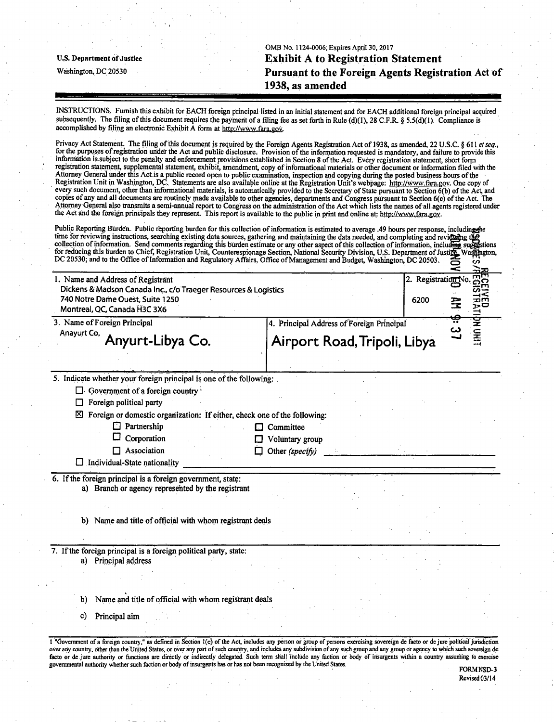|                            | OMB No. 1124-0006; Expires April 30, 2017          |
|----------------------------|----------------------------------------------------|
| U.S. Department of Justice | <b>Exhibit A to Registration Statement</b>         |
| Washington, DC 20530       | Pursuant to the Foreign Agents Registration Act of |
|                            | 1938, as amended                                   |
|                            |                                                    |

INSTRUCTIONS. Furnish this exhibit for EACH foreign principal listed in an initial statement and for EACH additional foreign principal acquired subsequently. The filing of this document requires the payment of a filing fee as set forth in Rule (d)(1), 28 C.F.R. § 5.5(d)(1). Compliance is accomplished by filing an electronic Exhibit A form at http://www.fara.gov.

Privacy Act Statement. The filing of this document is required by the Foreign Agents Registration Act of 1938, as amended, 22 U.S.C. § 611 et seq., for the purposes of registration under the Act and public disclosure. Provision of the information requested is mandatory, and failure to provide this information is subject to the penalty and enforcement provisions established in Section 8 ofthe Act. Every registration statement, short form registration statement, supplemental statement, exhibit, amendment, copy of informational materials or other document or information filed with the Attorney General under this Act is a public record open to public examination, inspection and copying during the posted business hours of the Registration Unit in Washington, DC. Statements are also available online at the Registration Unit's webpage: http://www.fara.gov. One copy of every such document, other than informational materials, is automatically provided to the Secretary of State pursuant to Section 6(b) ofthe Act, and copies of any and all documents are routinely made available to other agencies, departments and Congress pursuant to Section 6(c) of the Act. The Attorney General also transmits a semi-annual report to Congress on the administration ofthe Act which lists the names of all agents registered under the Act and the foreign principals they represent. This report is available to the public in print and online at; http://www.fara.gov.

| DC 20530; and to the Office of Information and Regulatory Affairs, Office of Management and Budget, Washington, DC 20503.<br>1. Name and Address of Registrant<br>Dickens & Madson Canada Inc., c/o Traeger Resources & Logistics<br>740 Notre Dame Ouest, Suite 1250<br>Montreal, QC, Canada H3C 3X6 |                                           | 2. Registration No<br>6200 | 88<br><b>THAT DA UNIT</b><br>₹ |  |
|-------------------------------------------------------------------------------------------------------------------------------------------------------------------------------------------------------------------------------------------------------------------------------------------------------|-------------------------------------------|----------------------------|--------------------------------|--|
| 3. Name of Foreign Principal                                                                                                                                                                                                                                                                          | 4. Principal Address of Foreign Principal |                            |                                |  |
| Anayurt Co. Anyurt-Libya Co.                                                                                                                                                                                                                                                                          | Airport Road, Tripoli, Libya              |                            | یا                             |  |
| 5. Indicate whether your foreign principal is one of the following:                                                                                                                                                                                                                                   |                                           |                            |                                |  |
| Foreign political party<br>□<br>⊠<br>Foreign or domestic organization: If either, check one of the following:<br>$\Box$ Partnership                                                                                                                                                                   | Committee                                 |                            |                                |  |
| Corporation<br>□<br>$\Box$ Association<br>$\Box$<br>$\Box$ Individual-State nationality                                                                                                                                                                                                               | Voluntary group<br>Other (specify)        |                            |                                |  |
| a) Branch or agency represented by the registrant                                                                                                                                                                                                                                                     |                                           |                            |                                |  |
| b) Name and title of official with whom registrant deals                                                                                                                                                                                                                                              |                                           |                            |                                |  |
| 6. If the foreign principal is a foreign government, state:<br>7. If the foreign principal is a foreign political party, state:<br>a) Principal address                                                                                                                                               |                                           |                            |                                |  |
| Name and title of official with whom registrant deals<br>b)                                                                                                                                                                                                                                           |                                           |                            |                                |  |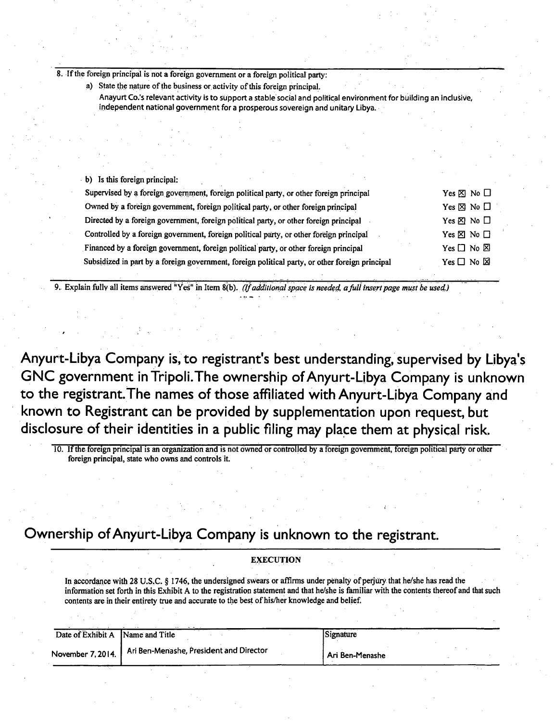8. If the foreign principal is not a foreign government or a foreign political party:

| a) State the nature of the business or activity of this foreign principal.                                         |
|--------------------------------------------------------------------------------------------------------------------|
| Anayurt Co.'s relevant activity is to support a stable social and political environment for building an inclusive, |
| independent national government for a prosperous sovereign and unitary Libya.                                      |

b) Is this foreign principal:

| Supervised by a foreign government, foreign political party, or other foreign principal         | Yes $\boxtimes$ No $\Box$    |
|-------------------------------------------------------------------------------------------------|------------------------------|
| Owned by a foreign government, foreign political party, or other foreign principal              | Yes $\boxtimes$ No $\square$ |
| Directed by a foreign government, foreign political party, or other foreign principal           | Yes $\boxtimes$ No $\Box$    |
| Controlled by a foreign government, foreign political party, or other foreign principal         | Yes $\boxtimes$ No $\Box$    |
| Financed by a foreign government, foreign political party, or other foreign principal           | Yes $\Box$ No $\boxtimes$    |
| Subsidized in part by a foreign government, foreign political party, or other foreign principal | $Yes \Box No \boxtimes$      |

*9. Explain fully all items answered "Yes" in Item 8(b). (If additional space is needed, a full insert page must be used)* 

**Anyurt-Libya Company is, to registrant's best understanding, supervised by Libya's GNC government inTripoli.The ownership of Anyurt-Libya Company is unknown**  to the registrant. The names of those affiliated with Anyurt-Libya Company and **known to Registrant can be provided by supplementation upon request, but disclosure of their identities in a public filing may place them at physical risk.** 

10. If the foreign principal is an organization and is hot owned or controlled by a foreign government, foreign political party or other foreign principal, state who owns and controls it.

## **Ownership of Anyurt-Libya Company is unknown to the registrant.**

## **EXECUTION**

In accordance with 28 U.S.C. § 1746, the undersigned swears or affirms under penalty of perjury that he/she has read the information set forth in this Exhibit A to the registration statement and that he/she is familiar with the contents thereof and that such contents are in their entirety true and accurate to the best of his/her knowledge and belief.

| Date of Exhibit A Name and Title |                                         | Signature         |
|----------------------------------|-----------------------------------------|-------------------|
| November 7, 2014.                | Ari Ben-Menashe, President and Director | l Ari Ben-Menashe |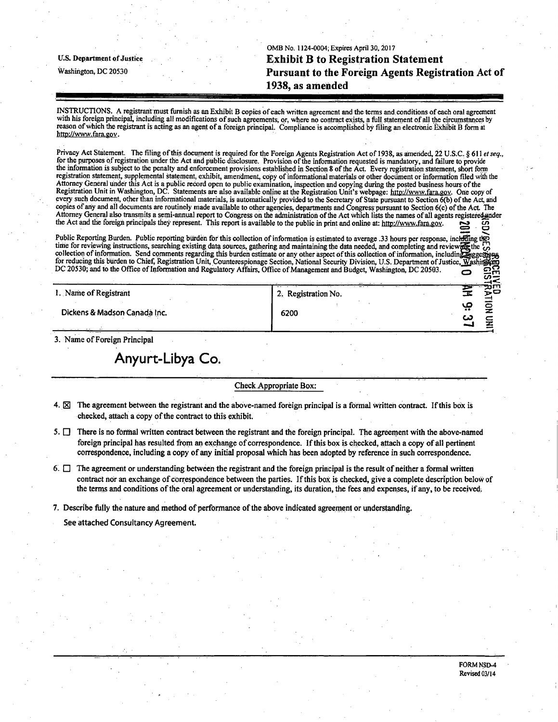OMB No. 1124-0004; Expires April 30, 2017 **u.s. Department of justice Exhibit B to Registration Statement Washington, DC 20530 Pursuant to the Foreign Agents Registration Act of 1938, as amended** 

 $\blacksquare$ 

**WILBAN** 

**- J 3?** 

INSTRUCTIONS. A registrant must furnish as an Exhibit B copies of each written agreement and the terms and.conditions of each oral agreernent with his foreign principal, including all modifications of such agreements, or, where no contract exists, a full statement of all the circumstances by reason of which the registrant is acting as an agent ofa foreign principal. Compliance is accomplished by filing an electronic Exhibit B form at http://www.fara.gov.

Privacy Act Statement. The filing of this document is required for the Foreign Agents Registration Act of 1938, as amended, 22 U.S.C. § 611 et seq., for the purposes of registration under the Act and public disclosure. Provision of the information requested is mandatory, and failure to provide me information is subject to the penalty and enforcement provisions established in Section 8 of the Act. Every registration statement, short form registration statement, supplemental statement, exhibit, amendment, copy of informational materials of other document or information filed with the Attorney General under this Act is a public record open to public examination, inspection and copying during me posted business hours ofthe Registration Unit in Washington, DC. Statements are also available online at the Registration Unit's webpage: http://www.fara.gov. One copy of every such document, other than informational materials, is automatically provided to the Secretary of State pursuant to Section 6(b) of the Act, and copies of any and all documents are routinely made available to other agencies, departments and Congress pursuant to Section 6(c) ofthe Act, The Attorney General also transmits a semi-annual report to Congress on the administration of the Act which lists the names of all agents registered ander the Act and the foreign principals they represent. This report is available to the public in print and online at: http://www.fara.gov.

Public Reporting Burden. Public reporting burden for this collection of information is estimated to average .33 hours per response, inchiding the time for reviewing instructions, searching existing data sources, gathering and maintaining the data needed, and completing and reviews in  $\mathcal{C}$ collection of information. Send comments regarding this burden estimate or any other aspect of this collection of information, including Reggestions for reducing this burden to Chief, Registration Unit, Counterespionage Section, National Security Division, U.S. Department of Justice, Washing DC 20530; and to the Office of Information and Regulatory Affairs, Office of Management and Budget, Washington, DC 20503.

| 1. Name of Registrant |  |
|-----------------------|--|
|                       |  |

Dickens & Madson Canada Inc.

 $\frac{1}{2}$  Beginning No.  $2.$  Registration.  $\mathbb{R}^2$  . The contract of  $\mathbb{R}^2$  is the contract of  $\mathbb{R}^2$  is the contract of  $\mathbb{R}^2$  $\mathbb{Z}$   $\mathbb{Z}$   $\mathbb{Z}$   $\mathbb{Z}$   $\mathbb{Z}$   $\mathbb{Z}$   $\mathbb{Z}$   $\mathbb{Z}$   $\mathbb{Z}$   $\mathbb{Z}$   $\mathbb{Z}$   $\mathbb{Z}$   $\mathbb{Z}$   $\mathbb{Z}$   $\mathbb{Z}$   $\mathbb{Z}$   $\mathbb{Z}$   $\mathbb{Z}$   $\mathbb{Z}$   $\mathbb{Z}$   $\mathbb{Z}$   $\mathbb{Z}$   $\mathbb{Z}$   $\mathbb{Z}$   $\mathbb{$ 

3. Name of Foreign Principal

**Anyurt-Libya Co.** 

Check Appropriate Box:

- 4.  $\boxtimes$  The agreement between the registrant and the above-named foreign principal is a formal written contract. If this box is checked, attach a copy of the contract to this exhibit.
- 5.  $\Box$  There is no formal written contract between the registrant and the foreign principal. The agreement with the above-named foreign principal has resulted from an exchange of correspondence. If this box is checked, attach a copy of all pertinent correspondence, including a copy of any initial proposal which has been adopted by reference in such correspondence.
- 6.  $\Box$  The agreement or understanding between the registrant and the foreign principal is the result of neither a formal written contract nor an exchange of correspondence between the parties. If this box is checked, give a complete description below of the terms and conditions of the oral agreement or understanding, its duration, the fees and expenses, if any, to be received

7. Describe fully the nature and method of performance ofthe above indicated agreement or understanding.

See attached Consultancy Agreement.

FORM MSD-4 Revised 03/14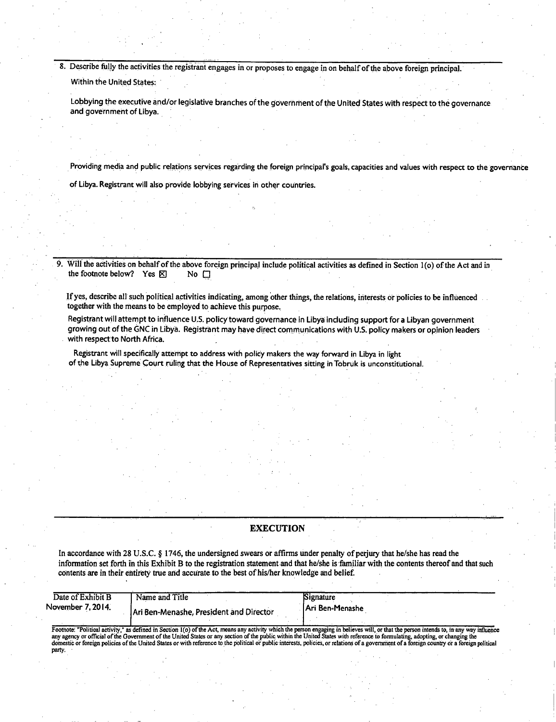8. Describe fully the activities the registrant engages in or proposes to engage in on behalf of the above foreign principal.

Within the United States:

Lobbying the executive and/or legislative branches of the government of the United States with respect to the governance and government of Libya.

Providing media and public relations services regarding the foreign principal's goals, capacities and values with respect to the governance

of Libya. Registrant will also provide lobbying services in other countries.

9. Will the activities on behalf of the above foreign principal include political activities as defined in Section 1(o) of the Act and in the footnote below? Yes  $\boxtimes$ the footnote below? Yes  $\mathbb{R}$ 

Ifyes, describe all such political activities indicating, among other things, the relations, interests or policies to be influenced together with the means to be employed to achieve this purpose.

Registrant will attempt to influence U.S. policy toward governance in Libya including support for a Libyan government growing out of the GNC in Libya. Registrant may have direct communications with U.S. policy makers or opinion leaders with respect to North Africa.

Registrant will specifically attempt to address with policy makers the way forward in Libya in light of the Libya Supreme Court ruling that the House of Representatives sitting in Tobruk is unconstitutional.

## **EXECUTION**

In accordance with 28 U.S.C. § 1746, the undersigned swears or affirms under penalty of perjury that he/she has read the information set forth in this Exhibit B to the registration statement and that he/she is familiar with the contents thereof and that such contents are in their entirety true arid accurate to the best of his/her knowledge and belief.

| Date of Exhibit B | Name and Title                          | Signature               |
|-------------------|-----------------------------------------|-------------------------|
| November 7, 2014. | Ari Ben-Menashe, President and Director | <b>IAri Ben-Menashe</b> |

Footnote: "Political activity," as defined in Section 1(o) of the Act, means any activity which the person engaging in believes will, or that the person intends to, in any way influence any agency or official of the Govern party.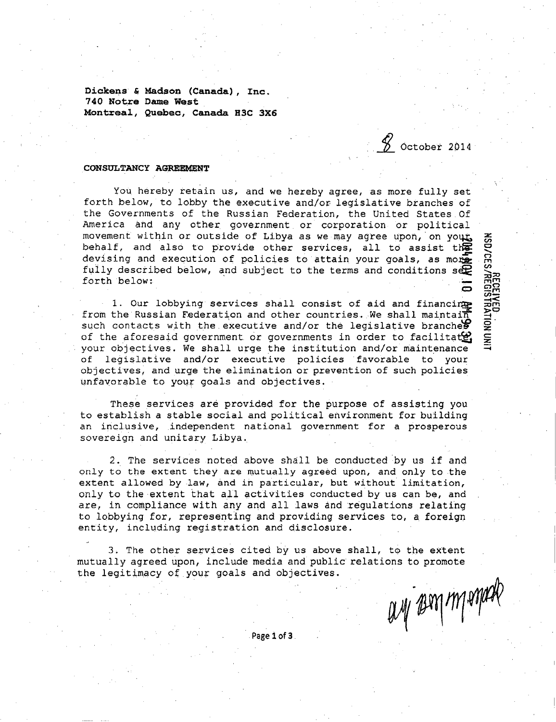**Dickens £ Madson (Canada), Inc. 740 Notre Dame West Montreal, Quebec, Canada R3C 3X6** 

*1* October 2014

## **CONSULTANCY AGREEMENT**

You hereby retain us, and we hereby agree, as more fully set forth below, to lobby the executive and/or legislative branches of the Governments of the Russian Federation, the United States.Of America and any other government or corporation or political movement within or outside of Libya as we may agree upon, on yout. behalf, and also to provide other services, all to assist the devising and execution of policies to attain your goals, as more fully described below, and subject to the terms and conditions  $s \oplus s$ forth below:  $\overline{\phantom{a}}$   $\overline{\phantom{a}}$   $\overline{\phantom{a}}$   $\overline{\phantom{a}}$   $\overline{\phantom{a}}$   $\overline{\phantom{a}}$   $\overline{\phantom{a}}$   $\overline{\phantom{a}}$   $\overline{\phantom{a}}$   $\overline{\phantom{a}}$   $\overline{\phantom{a}}$   $\overline{\phantom{a}}$   $\overline{\phantom{a}}$   $\overline{\phantom{a}}$   $\overline{\phantom{a}}$   $\overline{\phantom{a}}$   $\overline{\phantom{a}}$   $\overline{\phantom{a}}$   $\overline{\$ 

1. Our lobbying services shall consist of aid and financing from the Russian Federation and other countries. We shall maintain such contacts with the executive and/or the legislative branches of the aforesaid government or governments in order to facilitate, your objectives. We shall urge the institution and/or maintenance of legislative and/or executive policies favorable to your objectives, and urge the elimination or prevention of such policies unfavorable to your goals and objectives.

These services are provided for the purpose of assisting you to establish a stable social and political environment for building an inclusive, independent national government for a prosperous sovereign and unitary Libya.

2. The services noted above shall be conducted by us if and only to the extent they are mutually agreed upon, and only to the extent allowed by law, and in particular, but without limitation, only to the extent that all activities conducted by us can be, and are, in compliance with any and all laws and regulations relating to lobbying for, representing and providing services to, a foreign entity, including registration and disclosure.

3. The other services cited by us above shall, to the extent mutually agreed upon, include media and public relations to promote the legitimacy of your goals and objectives.

ant seal un avag

Page 1 of 3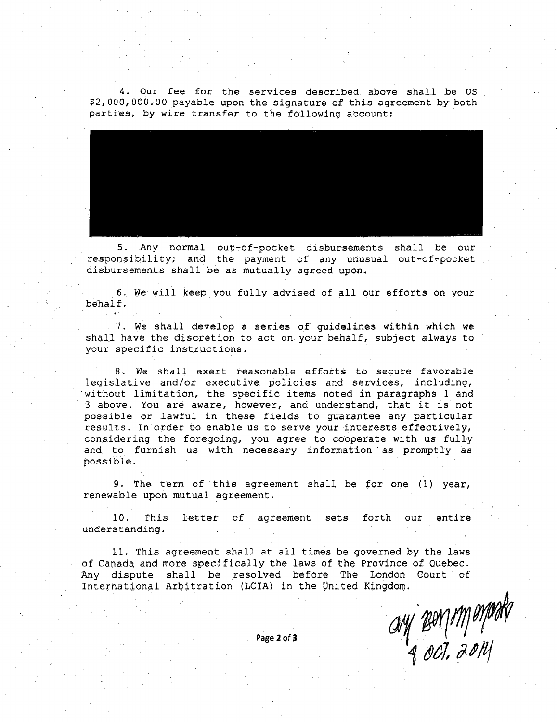4. Our fee for the services described above shall be US \$2,000,000.00 payable upon the signature of this agreement by both parties, by wire transfer to the following account:



5. Any normal out-of-pocket disbursements shall be our responsibility; and the payment of any unusual out-of-pocket disbursements shall be as mutually agreed upon.

6. We will keep you fully advised of all our efforts on your behalf.

7. We shall develop a series of quidelines within which we shall have the discretion to act on your behalf, subject always to your specific instructions.

8. We shall exert reasonable efforts to secure favorable legislative and/or executive policies and services, including, without limitation, the specific items noted in paragraphs 1 and 3 above. You are aware, however, and understand, that it is not possible or lawful in these fields to quarantee any particular results. In order to enable us to serve your interests effectively, considering the foregoing, you agree to cooperate with us fully and to furnish us with necessary information as promptly as possible.

9. The term of this agreement shall be for one  $(1)$  year, renewable upon mutual agreement.

10. This letter of agreement sets forth our entire understanding.

11. This agreement shall at all times be governed by the laws of Canada and more specifically the laws of the Province of Quebec. Any dispute shall be resolved before The London Court of International Arbitration (LCIA) in the United Kingdom.

ay Bonimenak

Page 2 of 3